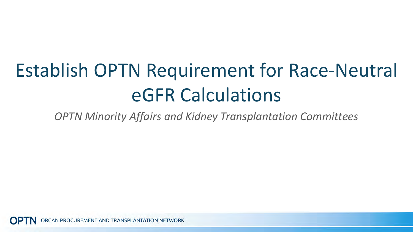# Establish OPTN Requirement for Race-Neutral eGFR Calculations

*OPTN Minority Affairs and Kidney Transplantation Committees*

RGAN PROCUREMENT AND TRANSPLANTATION NETWORK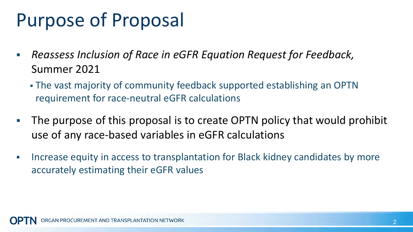## Purpose of Proposal

- *Reassess Inclusion of Race in eGFR Equation Request for Feedback,*  Summer 2021
	- The vast majority of community feedback supported establishing an OPTN requirement for race-neutral eGFR calculations
- The purpose of this proposal is to create OPTN policy that would prohibit use of any race-based variables in eGFR calculations
- **Increase equity in access to transplantation for Black kidney candidates by more** accurately estimating their eGFR values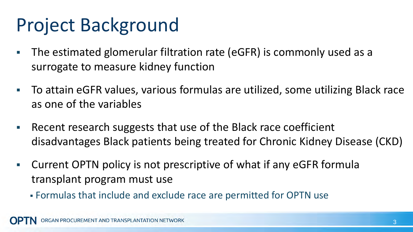### Project Background

- The estimated glomerular filtration rate (eGFR) is commonly used as a surrogate to measure kidney function
- To attain eGFR values, various formulas are utilized, some utilizing Black race as one of the variables
- Recent research suggests that use of the Black race coefficient disadvantages Black patients being treated for Chronic Kidney Disease (CKD)
- Current OPTN policy is not prescriptive of what if any eGFR formula transplant program must use
	- Formulas that include and exclude race are permitted for OPTN use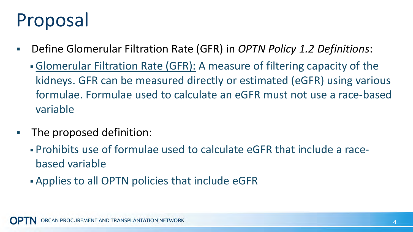# Proposal

- Define Glomerular Filtration Rate (GFR) in *OPTN Policy 1.2 Definitions*:
	- Glomerular Filtration Rate (GFR): A measure of filtering capacity of the kidneys. GFR can be measured directly or estimated (eGFR) using various formulae. Formulae used to calculate an eGFR must not use a race-based variable
- **The proposed definition:** 
	- Prohibits use of formulae used to calculate eGFR that include a racebased variable
	- Applies to all OPTN policies that include eGFR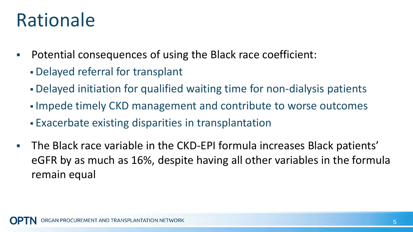## Rationale

- Potential consequences of using the Black race coefficient:
	- Delayed referral for transplant
	- Delayed initiation for qualified waiting time for non-dialysis patients
	- **Impede timely CKD management and contribute to worse outcomes**
	- Exacerbate existing disparities in transplantation
- The Black race variable in the CKD-EPI formula increases Black patients' eGFR by as much as 16%, despite having all other variables in the formula remain equal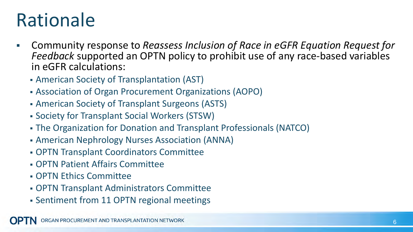## Rationale

- Community response to *Reassess Inclusion of Race in eGFR Equation Request for Feedback* supported an OPTN policy to prohibit use of any race-based variables in eGFR calculations:
	- American Society of Transplantation (AST)
	- Association of Organ Procurement Organizations (AOPO)
	- American Society of Transplant Surgeons (ASTS)
	- Society for Transplant Social Workers (STSW)
	- The Organization for Donation and Transplant Professionals (NATCO)
	- American Nephrology Nurses Association (ANNA)
	- OPTN Transplant Coordinators Committee
	- OPTN Patient Affairs Committee
	- OPTN Ethics Committee
	- OPTN Transplant Administrators Committee
	- Sentiment from 11 OPTN regional meetings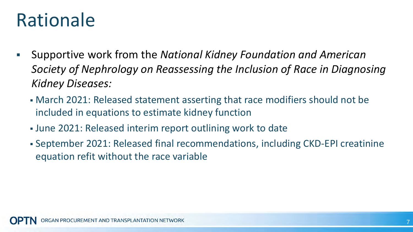## Rationale

- Supportive work from the *National Kidney Foundation and American Society of Nephrology on Reassessing the Inclusion of Race in Diagnosing Kidney Diseases:*
	- March 2021: Released statement asserting that race modifiers should not be included in equations to estimate kidney function
	- June 2021: Released interim report outlining work to date
	- September 2021: Released final recommendations, including CKD-EPI creatinine equation refit without the race variable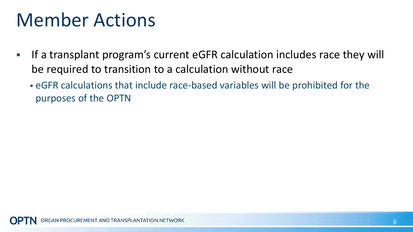#### Member Actions

- If a transplant program's current eGFR calculation includes race they will be required to transition to a calculation without race
	- eGFR calculations that include race-based variables will be prohibited for the purposes of the OPTN